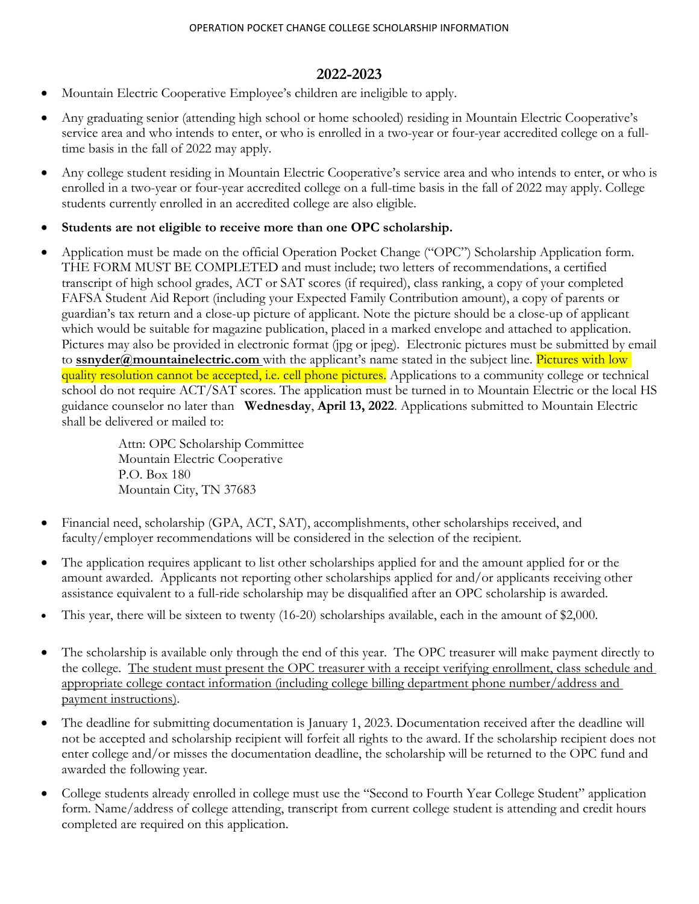## **2022-2023**

- Mountain Electric Cooperative Employee's children are ineligible to apply.
- Any graduating senior (attending high school or home schooled) residing in Mountain Electric Cooperative's service area and who intends to enter, or who is enrolled in a two-year or four-year accredited college on a fulltime basis in the fall of 2022 may apply.
- Any college student residing in Mountain Electric Cooperative's service area and who intends to enter, or who is enrolled in a two-year or four-year accredited college on a full-time basis in the fall of 2022 may apply. College students currently enrolled in an accredited college are also eligible.
- **Students are not eligible to receive more than one OPC scholarship.**
- Application must be made on the official Operation Pocket Change ("OPC") Scholarship Application form. THE FORM MUST BE COMPLETED and must include; two letters of recommendations, a certified transcript of high school grades, ACT or SAT scores (if required), class ranking, a copy of your completed FAFSA Student Aid Report (including your Expected Family Contribution amount), a copy of parents or guardian's tax return and a close-up picture of applicant. Note the picture should be a close-up of applicant which would be suitable for magazine publication, placed in a marked envelope and attached to application. Pictures may also be provided in electronic format (jpg or jpeg). Electronic pictures must be submitted by email to **[ssnyder@mountainelectric.com](mailto:ssnyder@mountainelectric.com)** with the applicant's name stated in the subject line. Pictures with low quality resolution cannot be accepted, i.e. cell phone pictures. Applications to a community college or technical school do not require ACT/SAT scores. The application must be turned in to Mountain Electric or the local HS guidance counselor no later than **Wednesday**, **April 13, 2022**. Applications submitted to Mountain Electric shall be delivered or mailed to:

Attn: OPC Scholarship Committee Mountain Electric Cooperative P.O. Box 180 Mountain City, TN 37683

- Financial need, scholarship (GPA, ACT, SAT), accomplishments, other scholarships received, and faculty/employer recommendations will be considered in the selection of the recipient.
- The application requires applicant to list other scholarships applied for and the amount applied for or the amount awarded. Applicants not reporting other scholarships applied for and/or applicants receiving other assistance equivalent to a full-ride scholarship may be disqualified after an OPC scholarship is awarded.
- This year, there will be sixteen to twenty (16-20) scholarships available, each in the amount of \$2,000.
- The scholarship is available only through the end of this year. The OPC treasurer will make payment directly to the college. The student must present the OPC treasurer with a receipt verifying enrollment, class schedule and appropriate college contact information (including college billing department phone number/address and payment instructions).
- The deadline for submitting documentation is January 1, 2023. Documentation received after the deadline will not be accepted and scholarship recipient will forfeit all rights to the award. If the scholarship recipient does not enter college and/or misses the documentation deadline, the scholarship will be returned to the OPC fund and awarded the following year.
- College students already enrolled in college must use the "Second to Fourth Year College Student" application form. Name/address of college attending, transcript from current college student is attending and credit hours completed are required on this application.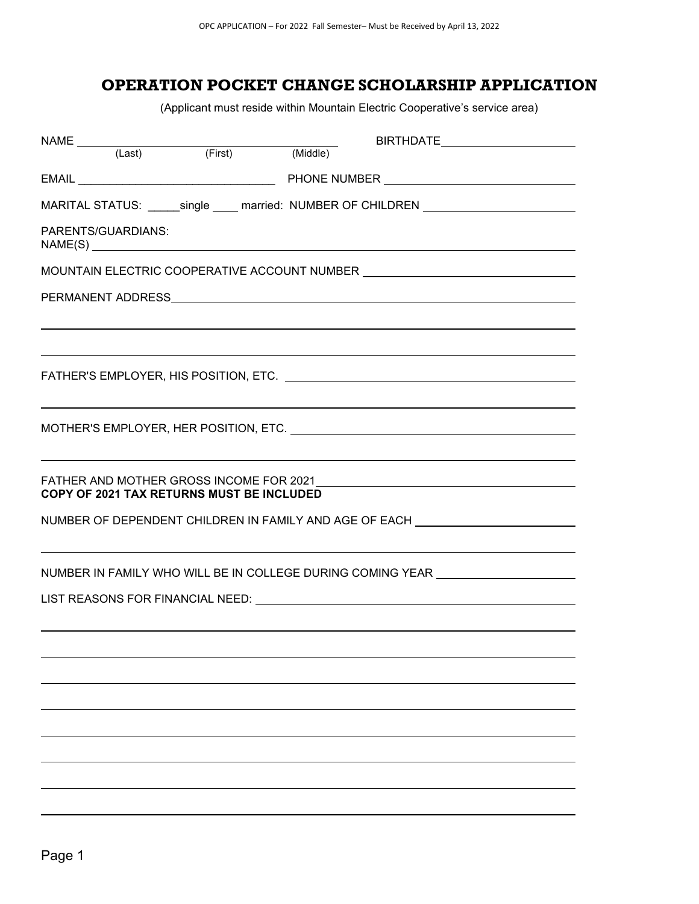## **OPERATION POCKET CHANGE SCHOLARSHIP APPLICATION**

(Applicant must reside within Mountain Electric Cooperative's service area)

|                                                                                  | BIRTHDATE_______________________                                                                                                                                                                                               |  |  |
|----------------------------------------------------------------------------------|--------------------------------------------------------------------------------------------------------------------------------------------------------------------------------------------------------------------------------|--|--|
|                                                                                  | NAME (Last) (First) (Middle) (East) (Posted Middle) (Middle) (Middle) (Middle) (Middle) (Middle) (Middle) (Middle) (Middle) (Middle) (Middle) (Middle) (Middle) (Middle) (Middle) (Middle) (Middle) (Middle) (Middle) (Middle) |  |  |
|                                                                                  |                                                                                                                                                                                                                                |  |  |
|                                                                                  | MARITAL STATUS: ______single _____ married: NUMBER OF CHILDREN _________________                                                                                                                                               |  |  |
| PARENTS/GUARDIANS:                                                               | NAME(S)                                                                                                                                                                                                                        |  |  |
| MOUNTAIN ELECTRIC COOPERATIVE ACCOUNT NUMBER ___________________________________ |                                                                                                                                                                                                                                |  |  |
|                                                                                  |                                                                                                                                                                                                                                |  |  |
|                                                                                  |                                                                                                                                                                                                                                |  |  |
|                                                                                  | ,我们也不会有什么。""我们的人,我们也不会有什么?""我们的人,我们也不会有什么?""我们的人,我们也不会有什么?""我们的人,我们也不会有什么?""我们的人                                                                                                                                               |  |  |
|                                                                                  |                                                                                                                                                                                                                                |  |  |
|                                                                                  |                                                                                                                                                                                                                                |  |  |
|                                                                                  |                                                                                                                                                                                                                                |  |  |
|                                                                                  |                                                                                                                                                                                                                                |  |  |
|                                                                                  | COPY OF 2021 TAX RETURNS MUST BE INCLUDED                                                                                                                                                                                      |  |  |
| NUMBER OF DEPENDENT CHILDREN IN FAMILY AND AGE OF EACH _________________________ |                                                                                                                                                                                                                                |  |  |
|                                                                                  |                                                                                                                                                                                                                                |  |  |
| NUMBER IN FAMILY WHO WILL BE IN COLLEGE DURING COMING YEAR _____________________ |                                                                                                                                                                                                                                |  |  |
|                                                                                  |                                                                                                                                                                                                                                |  |  |
|                                                                                  |                                                                                                                                                                                                                                |  |  |
|                                                                                  |                                                                                                                                                                                                                                |  |  |
|                                                                                  |                                                                                                                                                                                                                                |  |  |
|                                                                                  |                                                                                                                                                                                                                                |  |  |
|                                                                                  |                                                                                                                                                                                                                                |  |  |
|                                                                                  |                                                                                                                                                                                                                                |  |  |
|                                                                                  |                                                                                                                                                                                                                                |  |  |
|                                                                                  |                                                                                                                                                                                                                                |  |  |
|                                                                                  |                                                                                                                                                                                                                                |  |  |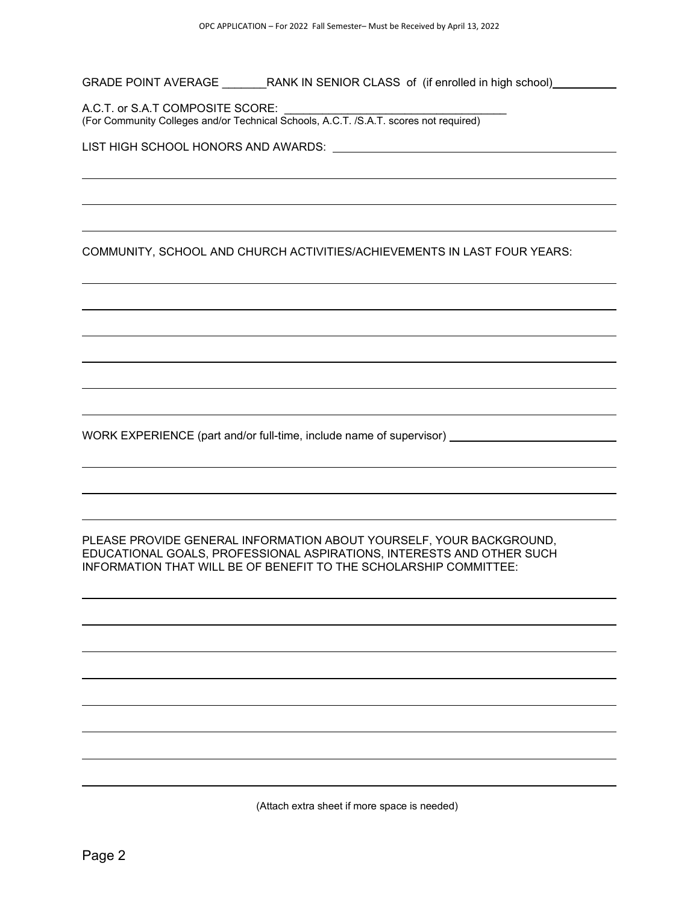GRADE POINT AVERAGE RANK IN SENIOR CLASS of (if enrolled in high school)

A.C.T. or S.A.T COMPOSITE SCORE:

(For Community Colleges and/or Technical Schools, A.C.T. /S.A.T. scores not required)

LIST HIGH SCHOOL HONORS AND AWARDS:

COMMUNITY, SCHOOL AND CHURCH ACTIVITIES/ACHIEVEMENTS IN LAST FOUR YEARS:

WORK EXPERIENCE (part and/or full-time, include name of supervisor)

PLEASE PROVIDE GENERAL INFORMATION ABOUT YOURSELF, YOUR BACKGROUND, EDUCATIONAL GOALS, PROFESSIONAL ASPIRATIONS, INTERESTS AND OTHER SUCH INFORMATION THAT WILL BE OF BENEFIT TO THE SCHOLARSHIP COMMITTEE:

(Attach extra sheet if more space is needed)